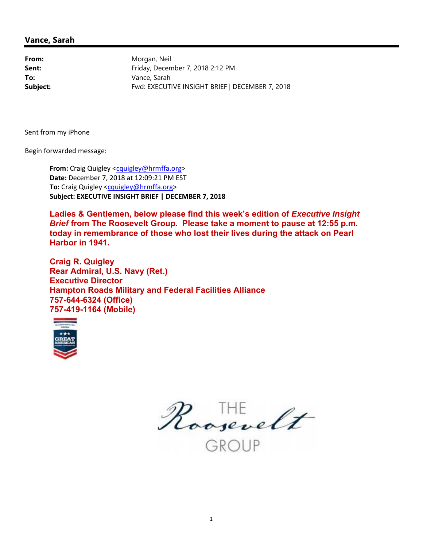#### **Vance, Sarah**

From: Morgan, Neil **Sent:** Friday, December 7, 2018 2:12 PM **To:** Vance, Sarah **Subject:** Fwd: EXECUTIVE INSIGHT BRIEF | DECEMBER 7, 2018

Sent from my iPhone

Begin forwarded message:

**From:** Craig Quigley [<cquigley@hrmffa.org>](mailto:cquigley@hrmffa.org) **Date:** December 7, 2018 at 12:09:21 PM EST **To:** Craig Quigley <[cquigley@hrmffa.org>](mailto:cquigley@hrmffa.org) **Subject: EXECUTIVE INSIGHT BRIEF | DECEMBER 7, 2018**

Ladies & Gentlemen, below please find this week's edition of *Executive Insight Brief* **from The Roosevelt Group. Please take a moment to pause at 12:55 p.m. today in remembrance of those who lost their lives during the attack on Pearl Harbor in 1941.**

**Craig R. Quigley Rear Admiral, U.S. Navy (Ret.) Executive Director Hampton Roads Military and Federal Facilities Alliance 757-644-6324 (Office) 757-419-1164 (Mobile)**



Roosevelt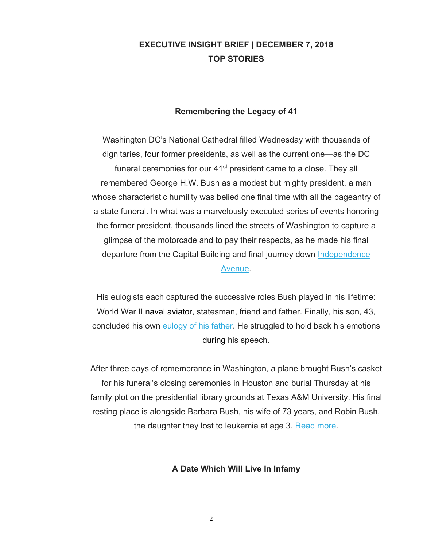# **EXECUTIVE INSIGHT BRIEF | DECEMBER 7, 2018 TOP STORIES**

#### **Remembering the Legacy of 41**

Washington DC's National Cathedral filled Wednesday with thousands of dignitaries, four former presidents, as well as the current one—as the DC funeral ceremonies for our 41<sup>st</sup> president came to a close. They all remembered George H.W. Bush as a modest but mighty president, a man whose characteristic humility was belied one final time with all the pageantry of a state funeral. In what was a marvelously executed series of events honoring the former president, thousands lined the streets of Washington to capture a glimpse of the motorcade and to pay their respects, as he made his final departure from the Capital Building and final journey down Independence Avenue.

His eulogists each captured the successive roles Bush played in his lifetime: World War II naval aviator, statesman, friend and father. Finally, his son, 43, concluded his own eulogy of his father. He struggled to hold back his emotions during his speech.

After three days of remembrance in Washington, a plane brought Bush's casket for his funeral's closing ceremonies in Houston and burial Thursday at his family plot on the presidential library grounds at Texas A&M University. His final resting place is alongside Barbara Bush, his wife of 73 years, and Robin Bush, the daughter they lost to leukemia at age 3. Read more.

#### **A Date Which Will Live In Infamy**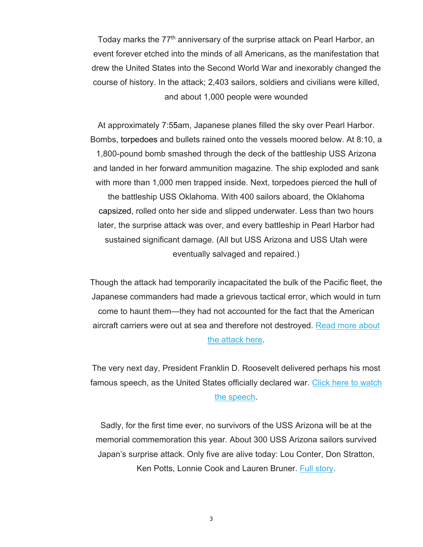Today marks the 77<sup>th</sup> anniversary of the surprise attack on Pearl Harbor, an event forever etched into the minds of all Americans, as the manifestation that drew the United States into the Second World War and inexorably changed the course of history. In the attack; 2,403 sailors, soldiers and civilians were killed, and about 1,000 people were wounded

At approximately 7:55am, Japanese planes filled the sky over Pearl Harbor. Bombs, torpedoes and bullets rained onto the vessels moored below. At 8:10, a 1,800-pound bomb smashed through the deck of the battleship USS Arizona and landed in her forward ammunition magazine. The ship exploded and sank with more than 1,000 men trapped inside. Next, torpedoes pierced the hull of the battleship USS Oklahoma. With 400 sailors aboard, the Oklahoma capsized, rolled onto her side and slipped underwater. Less than two hours later, the surprise attack was over, and every battleship in Pearl Harbor had sustained significant damage. (All but USS Arizona and USS Utah were eventually salvaged and repaired.)

Though the attack had temporarily incapacitated the bulk of the Pacific fleet, the Japanese commanders had made a grievous tactical error, which would in turn come to haunt them—they had not accounted for the fact that the American aircraft carriers were out at sea and therefore not destroyed. Read more about the attack here.

The very next day, President Franklin D. Roosevelt delivered perhaps his most famous speech, as the United States officially declared war. Click here to watch the speech.

Sadly, for the first time ever, no survivors of the USS Arizona will be at the memorial commemoration this year. About 300 USS Arizona sailors survived Japan's surprise attack. Only five are alive today: Lou Conter, Don Stratton, Ken Potts, Lonnie Cook and Lauren Bruner. Full story.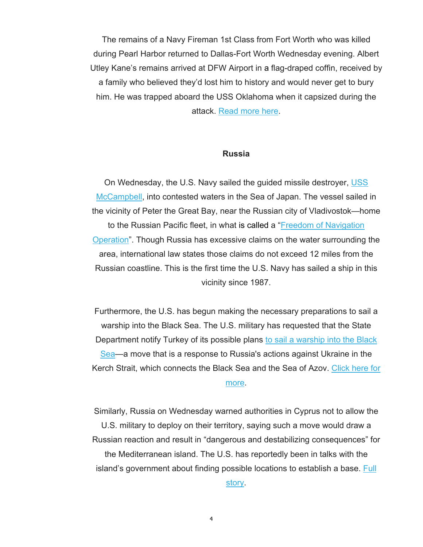The remains of a Navy Fireman 1st Class from Fort Worth who was killed during Pearl Harbor returned to Dallas-Fort Worth Wednesday evening. Albert Utley Kane's remains arrived at DFW Airport in a flag-draped coffin, received by a family who believed they'd lost him to history and would never get to bury him. He was trapped aboard the USS Oklahoma when it capsized during the attack. Read more here.

#### **Russia**

On Wednesday, the U.S. Navy sailed the guided missile destroyer, USS McCampbell, into contested waters in the Sea of Japan. The vessel sailed in the vicinity of Peter the Great Bay, near the Russian city of Vladivostok—home to the Russian Pacific fleet, in what is called a "Freedom of Navigation Operation". Though Russia has excessive claims on the water surrounding the area, international law states those claims do not exceed 12 miles from the Russian coastline. This is the first time the U.S. Navy has sailed a ship in this vicinity since 1987.

Furthermore, the U.S. has begun making the necessary preparations to sail a warship into the Black Sea. The U.S. military has requested that the State Department notify Turkey of its possible plans to sail a warship into the Black Sea—a move that is a response to Russia's actions against Ukraine in the Kerch Strait, which connects the Black Sea and the Sea of Azov. Click here for more.

Similarly, Russia on Wednesday warned authorities in Cyprus not to allow the U.S. military to deploy on their territory, saying such a move would draw a Russian reaction and result in "dangerous and destabilizing consequences" for the Mediterranean island. The U.S. has reportedly been in talks with the island's government about finding possible locations to establish a base. Full story.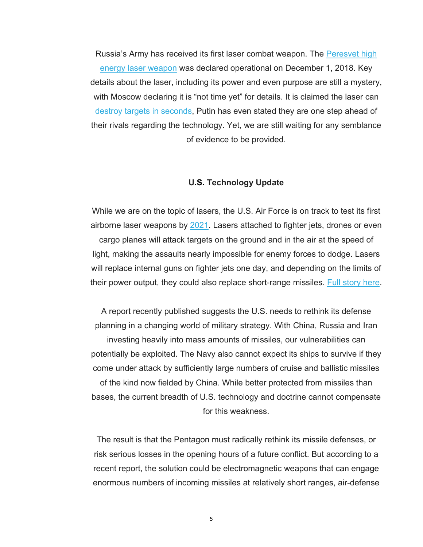Russia's Army has received its first laser combat weapon. The Peresvet high energy laser weapon was declared operational on December 1, 2018. Key details about the laser, including its power and even purpose are still a mystery, with Moscow declaring it is "not time yet" for details. It is claimed the laser can destroy targets in seconds, Putin has even stated they are one step ahead of their rivals regarding the technology. Yet, we are still waiting for any semblance of evidence to be provided.

#### **U.S. Technology Update**

While we are on the topic of lasers, the U.S. Air Force is on track to test its first airborne laser weapons by 2021. Lasers attached to fighter jets, drones or even cargo planes will attack targets on the ground and in the air at the speed of light, making the assaults nearly impossible for enemy forces to dodge. Lasers will replace internal guns on fighter jets one day, and depending on the limits of their power output, they could also replace short-range missiles. Full story here.

A report recently published suggests the U.S. needs to rethink its defense planning in a changing world of military strategy. With China, Russia and Iran investing heavily into mass amounts of missiles, our vulnerabilities can potentially be exploited. The Navy also cannot expect its ships to survive if they come under attack by sufficiently large numbers of cruise and ballistic missiles of the kind now fielded by China. While better protected from missiles than bases, the current breadth of U.S. technology and doctrine cannot compensate for this weakness.

The result is that the Pentagon must radically rethink its missile defenses, or risk serious losses in the opening hours of a future conflict. But according to a recent report, the solution could be electromagnetic weapons that can engage enormous numbers of incoming missiles at relatively short ranges, air-defense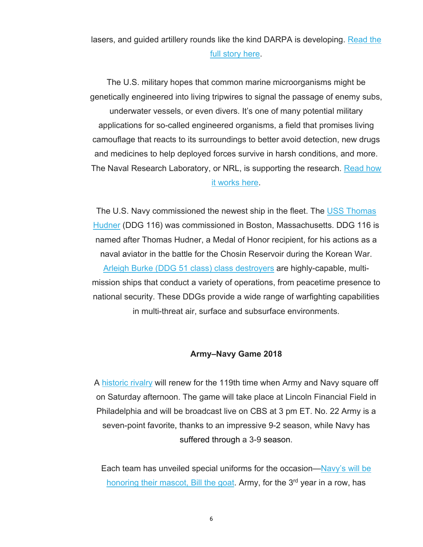lasers, and guided artillery rounds like the kind DARPA is developing. Read the full story here.

The U.S. military hopes that common marine microorganisms might be genetically engineered into living tripwires to signal the passage of enemy subs, underwater vessels, or even divers. It's one of many potential military applications for so-called engineered organisms, a field that promises living camouflage that reacts to its surroundings to better avoid detection, new drugs and medicines to help deployed forces survive in harsh conditions, and more. The Naval Research Laboratory, or NRL, is supporting the research. Read how it works here.

The U.S. Navy commissioned the newest ship in the fleet. The USS Thomas Hudner (DDG 116) was commissioned in Boston, Massachusetts. DDG 116 is named after Thomas Hudner, a Medal of Honor recipient, for his actions as a naval aviator in the battle for the Chosin Reservoir during the Korean War. Arleigh Burke (DDG 51 class) class destroyers are highly-capable, multimission ships that conduct a variety of operations, from peacetime presence to national security. These DDGs provide a wide range of warfighting capabilities in multi-threat air, surface and subsurface environments.

#### **Army–Navy Game 2018**

A historic rivalry will renew for the 119th time when Army and Navy square off on Saturday afternoon. The game will take place at Lincoln Financial Field in Philadelphia and will be broadcast live on CBS at 3 pm ET. No. 22 Army is a seven-point favorite, thanks to an impressive 9-2 season, while Navy has suffered through a 3-9 season.

Each team has unveiled special uniforms for the occasion—Navy's will be honoring their mascot, Bill the goat. Army, for the  $3<sup>rd</sup>$  year in a row, has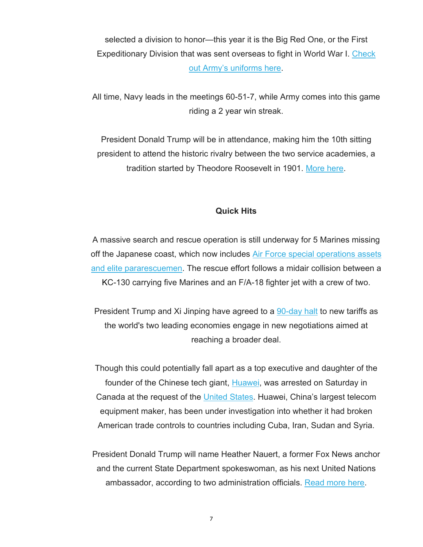selected a division to honor—this year it is the Big Red One, or the First Expeditionary Division that was sent overseas to fight in World War I. Check out Army's uniforms here.

All time, Navy leads in the meetings 60-51-7, while Army comes into this game riding a 2 year win streak.

President Donald Trump will be in attendance, making him the 10th sitting president to attend the historic rivalry between the two service academies, a tradition started by Theodore Roosevelt in 1901. More here.

#### **Quick Hits**

A massive search and rescue operation is still underway for 5 Marines missing off the Japanese coast, which now includes Air Force special operations assets and elite pararescuemen. The rescue effort follows a midair collision between a KC-130 carrying five Marines and an F/A-18 fighter jet with a crew of two.

President Trump and Xi Jinping have agreed to a 90-day halt to new tariffs as the world's two leading economies engage in new negotiations aimed at reaching a broader deal.

Though this could potentially fall apart as a top executive and daughter of the founder of the Chinese tech giant, Huawei, was arrested on Saturday in Canada at the request of the United States. Huawei, China's largest telecom equipment maker, has been under investigation into whether it had broken American trade controls to countries including Cuba, Iran, Sudan and Syria.

President Donald Trump will name Heather Nauert, a former Fox News anchor and the current State Department spokeswoman, as his next United Nations ambassador, according to two administration officials. Read more here.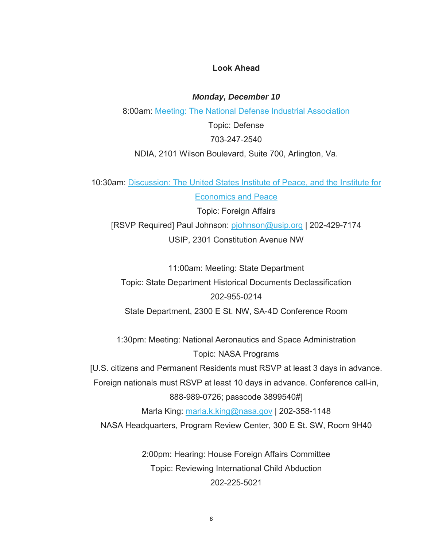#### **Look Ahead**

*Monday, December 10* 

8:00am: Meeting: The National Defense Industrial Association

Topic: Defense 703-247-2540

NDIA, 2101 Wilson Boulevard, Suite 700, Arlington, Va.

10:30am: Discussion: The United States Institute of Peace, and the Institute for Economics and Peace

Topic: Foreign Affairs [RSVP Required] Paul Johnson: [pjohnson@usip.org](mailto:pjohnson@usip.org) | 202-429-7174 USIP, 2301 Constitution Avenue NW

11:00am: Meeting: State Department Topic: State Department Historical Documents Declassification 202-955-0214 State Department, 2300 E St. NW, SA-4D Conference Room

1:30pm: Meeting: National Aeronautics and Space Administration Topic: NASA Programs

[U.S. citizens and Permanent Residents must RSVP at least 3 days in advance.

Foreign nationals must RSVP at least 10 days in advance. Conference call-in,

888-989-0726; passcode 3899540#]

Marla King: [marla.k.king@nasa.gov](mailto:marla.k.king@nasa.gov) | 202-358-1148 NASA Headquarters, Program Review Center, 300 E St. SW, Room 9H40

> 2:00pm: Hearing: House Foreign Affairs Committee Topic: Reviewing International Child Abduction 202-225-5021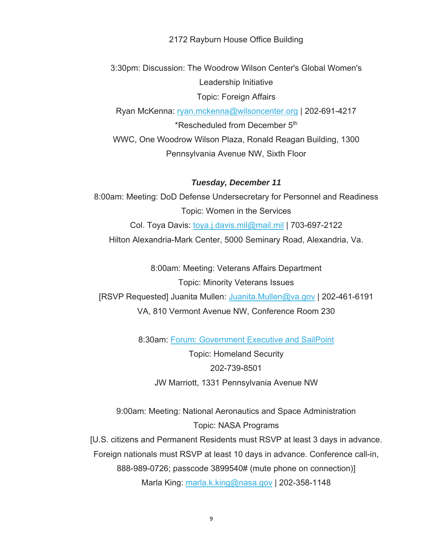2172 Rayburn House Office Building

3:30pm: Discussion: The Woodrow Wilson Center's Global Women's Leadership Initiative Topic: Foreign Affairs

Ryan McKenna: [ryan.mckenna@wilsoncenter.org](mailto:ryan.mckenna@wilsoncenter.org) | 202-691-4217 \*Rescheduled from December 5th WWC, One Woodrow Wilson Plaza, Ronald Reagan Building, 1300 Pennsylvania Avenue NW, Sixth Floor

#### *Tuesday, December 11*

8:00am: Meeting: DoD Defense Undersecretary for Personnel and Readiness Topic: Women in the Services Col. Toya Davis: [toya.j.davis.mil@mail.mil](mailto:toya.j.davis.mil@mail.mil) | 703-697-2122 Hilton Alexandria-Mark Center, 5000 Seminary Road, Alexandria, Va.

8:00am: Meeting: Veterans Affairs Department Topic: Minority Veterans Issues [RSVP Requested] Juanita Mullen: [Juanita.Mullen@va.gov](mailto:Juanita.Mullen@va.gov) | 202-461-6191 VA, 810 Vermont Avenue NW, Conference Room 230

8:30am: Forum: Government Executive and SailPoint

Topic: Homeland Security 202-739-8501 JW Marriott, 1331 Pennsylvania Avenue NW

9:00am: Meeting: National Aeronautics and Space Administration Topic: NASA Programs [U.S. citizens and Permanent Residents must RSVP at least 3 days in advance. Foreign nationals must RSVP at least 10 days in advance. Conference call-in, 888-989-0726; passcode 3899540# (mute phone on connection)] Marla King: [marla.k.king@nasa.gov](mailto:marla.k.king@nasa.gov) | 202-358-1148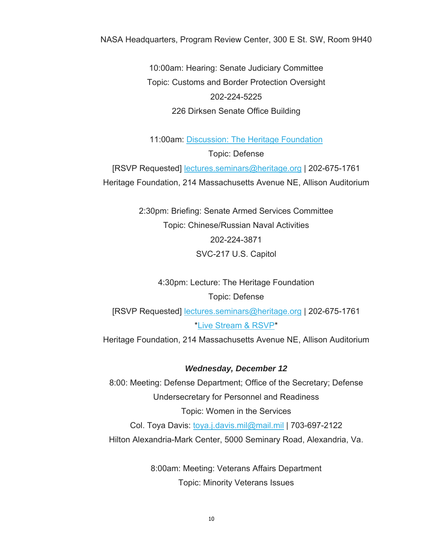NASA Headquarters, Program Review Center, 300 E St. SW, Room 9H40

10:00am: Hearing: Senate Judiciary Committee Topic: Customs and Border Protection Oversight 202-224-5225 226 Dirksen Senate Office Building

11:00am: Discussion: The Heritage Foundation Topic: Defense

[RSVP Requested] [lectures.seminars@heritage.org](mailto:lectures.seminars@heritage.org) | 202-675-1761 Heritage Foundation, 214 Massachusetts Avenue NE, Allison Auditorium

> 2:30pm: Briefing: Senate Armed Services Committee Topic: Chinese/Russian Naval Activities 202-224-3871 SVC-217 U.S. Capitol

4:30pm: Lecture: The Heritage Foundation Topic: Defense [RSVP Requested] [lectures.seminars@heritage.org](mailto:lectures.seminars@heritage.org) | 202-675-1761 \*Live Stream & RSVP\* Heritage Foundation, 214 Massachusetts Avenue NE, Allison Auditorium

*Wednesday, December 12* 

8:00: Meeting: Defense Department; Office of the Secretary; Defense Undersecretary for Personnel and Readiness Topic: Women in the Services Col. Toya Davis: [toya.j.davis.mil@mail.mil](mailto:toya.j.davis.mil@mail.mil) | 703-697-2122 Hilton Alexandria-Mark Center, 5000 Seminary Road, Alexandria, Va.

> 8:00am: Meeting: Veterans Affairs Department Topic: Minority Veterans Issues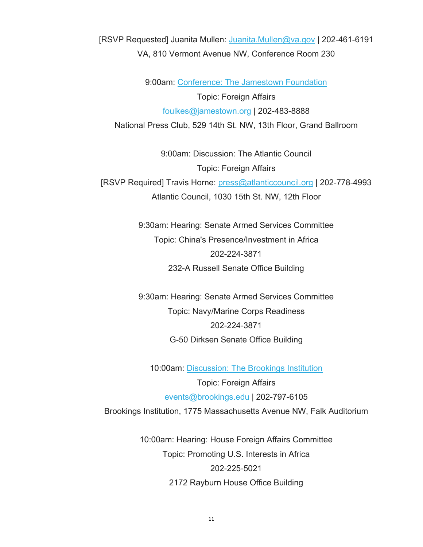[RSVP Requested] Juanita Mullen: [Juanita.Mullen@va.gov](mailto:Juanita.Mullen@va.gov) | 202-461-6191 VA, 810 Vermont Avenue NW, Conference Room 230

9:00am: Conference: The Jamestown Foundation Topic: Foreign Affairs [foulkes@jamestown.org](mailto:foulkes@jamestown.org) | 202-483-8888 National Press Club, 529 14th St. NW, 13th Floor, Grand Ballroom

9:00am: Discussion: The Atlantic Council Topic: Foreign Affairs [RSVP Required] Travis Horne: [press@atlanticcouncil.org](mailto:press@atlanticcouncil.org) | 202-778-4993 Atlantic Council, 1030 15th St. NW, 12th Floor

> 9:30am: Hearing: Senate Armed Services Committee Topic: China's Presence/Investment in Africa 202-224-3871 232-A Russell Senate Office Building

> 9:30am: Hearing: Senate Armed Services Committee Topic: Navy/Marine Corps Readiness 202-224-3871 G-50 Dirksen Senate Office Building

10:00am: Discussion: The Brookings Institution Topic: Foreign Affairs [events@brookings.edu](mailto:events@brookings.edu) | 202-797-6105 Brookings Institution, 1775 Massachusetts Avenue NW, Falk Auditorium

> 10:00am: Hearing: House Foreign Affairs Committee Topic: Promoting U.S. Interests in Africa 202-225-5021 2172 Rayburn House Office Building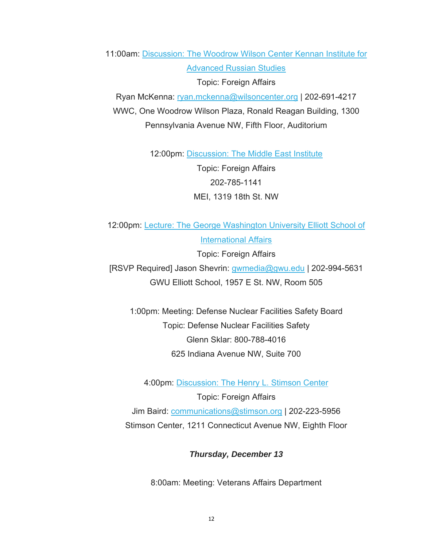11:00am: Discussion: The Woodrow Wilson Center Kennan Institute for Advanced Russian Studies Topic: Foreign Affairs

Ryan McKenna: [ryan.mckenna@wilsoncenter.org](mailto:ryan.mckenna@wilsoncenter.org) | 202-691-4217 WWC, One Woodrow Wilson Plaza, Ronald Reagan Building, 1300 Pennsylvania Avenue NW, Fifth Floor, Auditorium

12:00pm: Discussion: The Middle East Institute

Topic: Foreign Affairs 202-785-1141 MEI, 1319 18th St. NW

12:00pm: Lecture: The George Washington University Elliott School of International Affairs

Topic: Foreign Affairs [RSVP Required] Jason Shevrin: [gwmedia@gwu.edu](mailto:gwmedia@gwu.edu) | 202-994-5631 GWU Elliott School, 1957 E St. NW, Room 505

1:00pm: Meeting: Defense Nuclear Facilities Safety Board Topic: Defense Nuclear Facilities Safety Glenn Sklar: 800-788-4016 625 Indiana Avenue NW, Suite 700

4:00pm: Discussion: The Henry L. Stimson Center Topic: Foreign Affairs Jim Baird: [communications@stimson.org](mailto:communications@stimson.org) | 202-223-5956 Stimson Center, 1211 Connecticut Avenue NW, Eighth Floor

#### *Thursday, December 13*

8:00am: Meeting: Veterans Affairs Department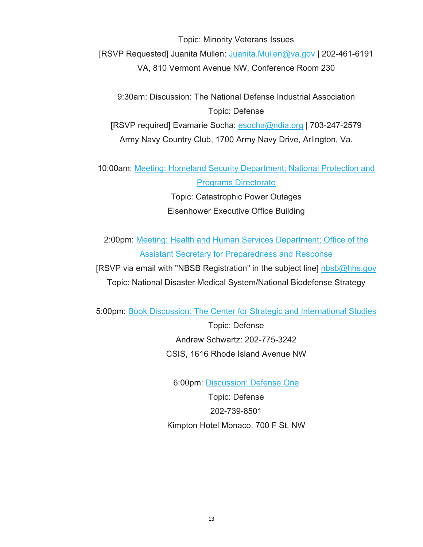Topic: Minority Veterans Issues [RSVP Requested] Juanita Mullen: [Juanita.Mullen@va.gov](mailto:Juanita.Mullen@va.gov) | 202-461-6191 VA, 810 Vermont Avenue NW, Conference Room 230

9:30am: Discussion: The National Defense Industrial Association Topic: Defense [RSVP required] Evamarie Socha: [esocha@ndia.org](mailto:esocha@ndia.org) | 703-247-2579 Army Navy Country Club, 1700 Army Navy Drive, Arlington, Va.

10:00am: Meeting: Homeland Security Department; National Protection and Programs Directorate Topic: Catastrophic Power Outages

Eisenhower Executive Office Building

2:00pm: Meeting: Health and Human Services Department; Office of the Assistant Secretary for Preparedness and Response

[RSVP via email with "NBSB Registration" in the subject line] [nbsb@hhs.gov](mailto:nbsb@hhs.gov) Topic: National Disaster Medical System/National Biodefense Strategy

5:00pm: Book Discussion: The Center for Strategic and International Studies

Topic: Defense Andrew Schwartz: 202-775-3242 CSIS, 1616 Rhode Island Avenue NW

6:00pm: Discussion: Defense One

Topic: Defense 202-739-8501 Kimpton Hotel Monaco, 700 F St. NW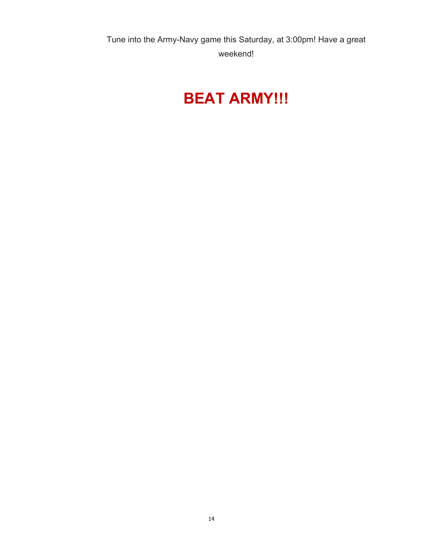Tune into the Army-Navy game this Saturday, at 3:00pm! Have a great weekend!

# **BEAT ARMY!!!**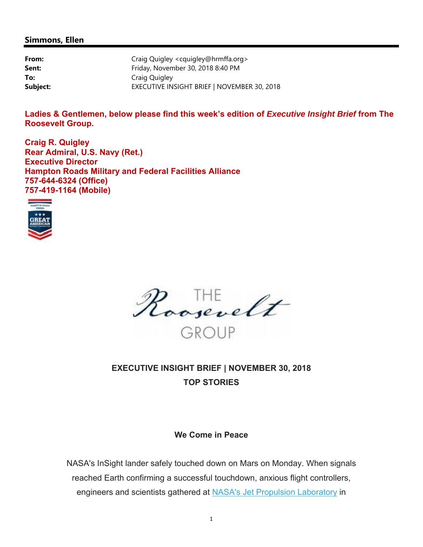#### **Simmons, Ellen**

| From:    | Craig Quigley <cquigley@hrmffa.org></cquigley@hrmffa.org> |
|----------|-----------------------------------------------------------|
| Sent:    | Friday, November 30, 2018 8:40 PM                         |
| To:      | Craig Quigley                                             |
| Subject: | EXECUTIVE INSIGHT BRIEF   NOVEMBER 30, 2018               |

Ladies & Gentlemen, below please find this week's edition of *Executive Insight Brief* from The **Roosevelt Group.** 

**Craig R. Quigley Rear Admiral, U.S. Navy (Ret.) Executive Director Hampton Roads Military and Federal Facilities Alliance 757-644-6324 (Office) 757-419-1164 (Mobile)** 





# **EXECUTIVE INSIGHT BRIEF | NOVEMBER 30, 2018 TOP STORIES**

#### **We Come in Peace**

NASA's InSight lander safely touched down on Mars on Monday. When signals reached Earth confirming a successful touchdown, anxious flight controllers, engineers and scientists gathered at NASA's Jet Propulsion Laboratory in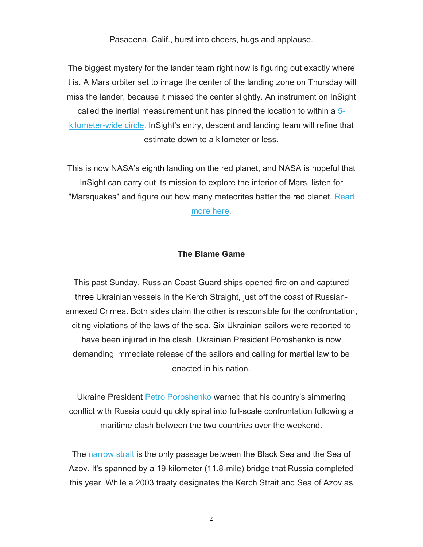Pasadena, Calif., burst into cheers, hugs and applause.

The biggest mystery for the lander team right now is figuring out exactly where it is. A Mars orbiter set to image the center of the landing zone on Thursday will miss the lander, because it missed the center slightly. An instrument on InSight called the inertial measurement unit has pinned the location to within a 5 kilometer-wide circle. InSight's entry, descent and landing team will refine that estimate down to a kilometer or less.

This is now NASA's eighth landing on the red planet, and NASA is hopeful that InSight can carry out its mission to explore the interior of Mars, listen for "Marsquakes" and figure out how many meteorites batter the red planet. Read more here.

#### **The Blame Game**

This past Sunday, Russian Coast Guard ships opened fire on and captured three Ukrainian vessels in the Kerch Straight, just off the coast of Russianannexed Crimea. Both sides claim the other is responsible for the confrontation, citing violations of the laws of the sea. Six Ukrainian sailors were reported to have been injured in the clash. Ukrainian President Poroshenko is now demanding immediate release of the sailors and calling for martial law to be enacted in his nation.

Ukraine President Petro Poroshenko warned that his country's simmering conflict with Russia could quickly spiral into full-scale confrontation following a maritime clash between the two countries over the weekend.

The narrow strait is the only passage between the Black Sea and the Sea of Azov. It's spanned by a 19-kilometer (11.8-mile) bridge that Russia completed this year. While a 2003 treaty designates the Kerch Strait and Sea of Azov as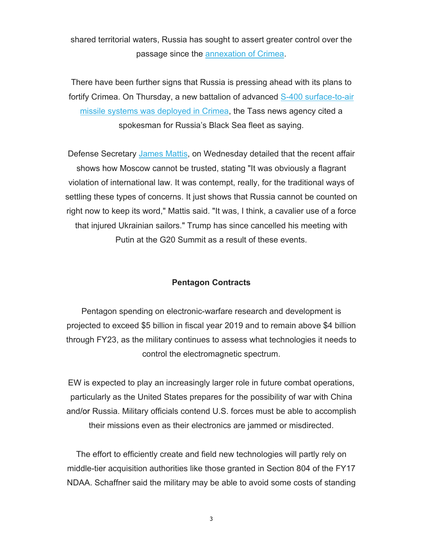shared territorial waters, Russia has sought to assert greater control over the passage since the annexation of Crimea.

There have been further signs that Russia is pressing ahead with its plans to fortify Crimea. On Thursday, a new battalion of advanced S-400 surface-to-air missile systems was deployed in Crimea, the Tass news agency cited a spokesman for Russia's Black Sea fleet as saying.

Defense Secretary James Mattis, on Wednesday detailed that the recent affair shows how Moscow cannot be trusted, stating "It was obviously a flagrant violation of international law. It was contempt, really, for the traditional ways of settling these types of concerns. It just shows that Russia cannot be counted on right now to keep its word," Mattis said. "It was, I think, a cavalier use of a force that injured Ukrainian sailors." Trump has since cancelled his meeting with Putin at the G20 Summit as a result of these events.

#### **Pentagon Contracts**

Pentagon spending on electronic-warfare research and development is projected to exceed \$5 billion in fiscal year 2019 and to remain above \$4 billion through FY23, as the military continues to assess what technologies it needs to control the electromagnetic spectrum.

EW is expected to play an increasingly larger role in future combat operations, particularly as the United States prepares for the possibility of war with China and/or Russia. Military officials contend U.S. forces must be able to accomplish their missions even as their electronics are jammed or misdirected.

The effort to efficiently create and field new technologies will partly rely on middle-tier acquisition authorities like those granted in Section 804 of the FY17 NDAA. Schaffner said the military may be able to avoid some costs of standing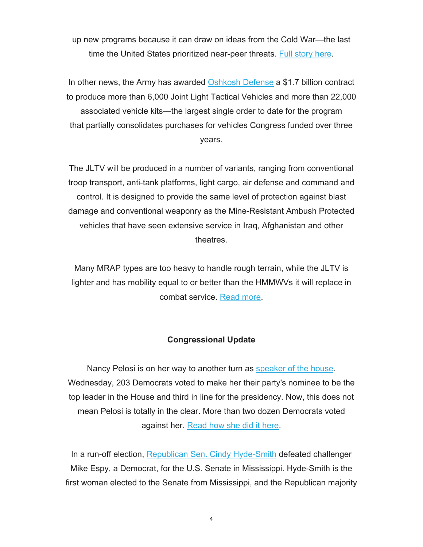up new programs because it can draw on ideas from the Cold War—the last time the United States prioritized near-peer threats. Full story here.

In other news, the Army has awarded Oshkosh Defense a \$1.7 billion contract to produce more than 6,000 Joint Light Tactical Vehicles and more than 22,000 associated vehicle kits—the largest single order to date for the program that partially consolidates purchases for vehicles Congress funded over three years.

The JLTV will be produced in a number of variants, ranging from conventional troop transport, anti-tank platforms, light cargo, air defense and command and control. It is designed to provide the same level of protection against blast damage and conventional weaponry as the Mine-Resistant Ambush Protected vehicles that have seen extensive service in Iraq, Afghanistan and other theatres.

Many MRAP types are too heavy to handle rough terrain, while the JLTV is lighter and has mobility equal to or better than the HMMWVs it will replace in combat service. Read more.

#### **Congressional Update**

Nancy Pelosi is on her way to another turn as speaker of the house. Wednesday, 203 Democrats voted to make her their party's nominee to be the top leader in the House and third in line for the presidency. Now, this does not mean Pelosi is totally in the clear. More than two dozen Democrats voted against her. Read how she did it here.

In a run-off election, Republican Sen. Cindy Hyde-Smith defeated challenger Mike Espy, a Democrat, for the U.S. Senate in Mississippi. Hyde-Smith is the first woman elected to the Senate from Mississippi, and the Republican majority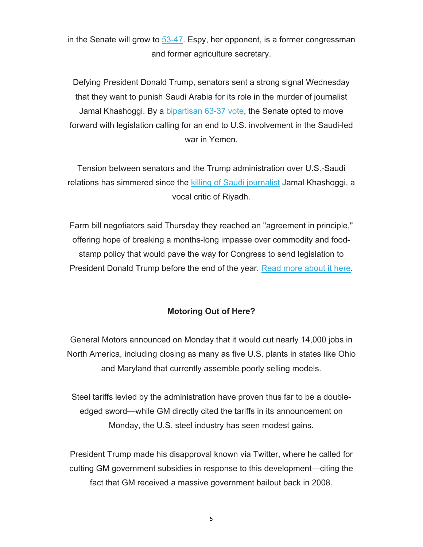in the Senate will grow to 53-47. Espy, her opponent, is a former congressman and former agriculture secretary.

Defying President Donald Trump, senators sent a strong signal Wednesday that they want to punish Saudi Arabia for its role in the murder of journalist Jamal Khashoggi. By a bipartisan 63-37 vote, the Senate opted to move forward with legislation calling for an end to U.S. involvement in the Saudi-led war in Yemen.

Tension between senators and the Trump administration over U.S.-Saudi relations has simmered since the killing of Saudi journalist Jamal Khashoggi, a vocal critic of Riyadh.

Farm bill negotiators said Thursday they reached an "agreement in principle," offering hope of breaking a months-long impasse over commodity and foodstamp policy that would pave the way for Congress to send legislation to President Donald Trump before the end of the year. Read more about it here.

#### **Motoring Out of Here?**

General Motors announced on Monday that it would cut nearly 14,000 jobs in North America, including closing as many as five U.S. plants in states like Ohio and Maryland that currently assemble poorly selling models.

Steel tariffs levied by the administration have proven thus far to be a doubleedged sword—while GM directly cited the tariffs in its announcement on Monday, the U.S. steel industry has seen modest gains.

President Trump made his disapproval known via Twitter, where he called for cutting GM government subsidies in response to this development—citing the fact that GM received a massive government bailout back in 2008.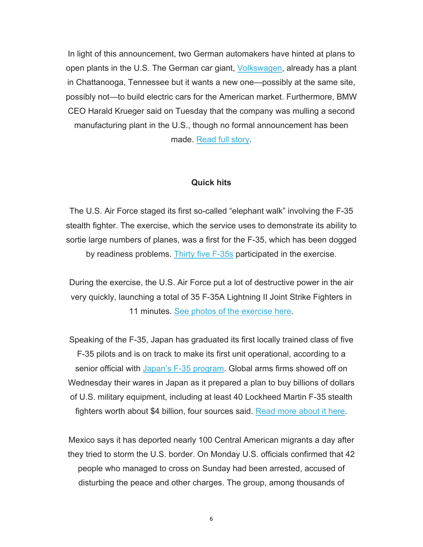In light of this announcement, two German automakers have hinted at plans to open plants in the U.S. The German car giant, Volkswagen, already has a plant in Chattanooga, Tennessee but it wants a new one—possibly at the same site, possibly not—to build electric cars for the American market. Furthermore, BMW CEO Harald Krueger said on Tuesday that the company was mulling a second manufacturing plant in the U.S., though no formal announcement has been made. Read full story.

#### **Quick hits**

The U.S. Air Force staged its first so-called "elephant walk" involving the F-35 stealth fighter. The exercise, which the service uses to demonstrate its ability to sortie large numbers of planes, was a first for the F-35, which has been dogged by readiness problems. Thirty five F-35s participated in the exercise.

During the exercise, the U.S. Air Force put a lot of destructive power in the air very quickly, launching a total of 35 F-35A Lightning II Joint Strike Fighters in 11 minutes. See photos of the exercise here.

Speaking of the F-35, Japan has graduated its first locally trained class of five F-35 pilots and is on track to make its first unit operational, according to a senior official with Japan's F-35 program. Global arms firms showed off on Wednesday their wares in Japan as it prepared a plan to buy billions of dollars of U.S. military equipment, including at least 40 Lockheed Martin F-35 stealth fighters worth about \$4 billion, four sources said. Read more about it here.

Mexico says it has deported nearly 100 Central American migrants a day after they tried to storm the U.S. border. On Monday U.S. officials confirmed that 42 people who managed to cross on Sunday had been arrested, accused of disturbing the peace and other charges. The group, among thousands of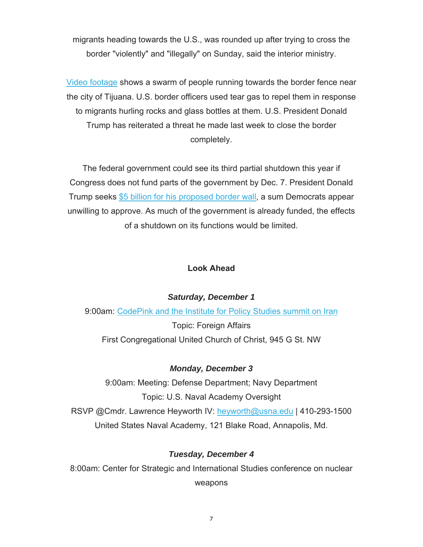migrants heading towards the U.S., was rounded up after trying to cross the border "violently" and "illegally" on Sunday, said the interior ministry.

Video footage shows a swarm of people running towards the border fence near the city of Tijuana. U.S. border officers used tear gas to repel them in response to migrants hurling rocks and glass bottles at them. U.S. President Donald Trump has reiterated a threat he made last week to close the border completely.

The federal government could see its third partial shutdown this year if Congress does not fund parts of the government by Dec. 7. President Donald Trump seeks \$5 billion for his proposed border wall, a sum Democrats appear unwilling to approve. As much of the government is already funded, the effects of a shutdown on its functions would be limited.

#### **Look Ahead**

#### *Saturday, December 1*

9:00am: CodePink and the Institute for Policy Studies summit on Iran Topic: Foreign Affairs First Congregational United Church of Christ, 945 G St. NW

### *Monday, December 3*

9:00am: Meeting: Defense Department; Navy Department Topic: U.S. Naval Academy Oversight RSVP @Cmdr. Lawrence Heyworth IV: [heyworth@usna.edu](mailto:heyworth@usna.edu) | 410-293-1500 United States Naval Academy, 121 Blake Road, Annapolis, Md.

### *Tuesday, December 4*

8:00am: Center for Strategic and International Studies conference on nuclear weapons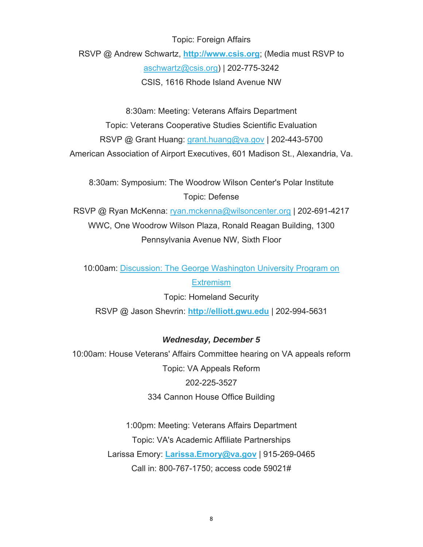Topic: Foreign Affairs RSVP @ Andrew Schwartz, **<http://www.csis.org>**; (Media must RSVP to [aschwartz@csis.org](mailto:aschwartz@csis.org)) | 202-775-3242 CSIS, 1616 Rhode Island Avenue NW

8:30am: Meeting: Veterans Affairs Department

Topic: Veterans Cooperative Studies Scientific Evaluation RSVP @ Grant Huang: [grant.huang@va.gov](mailto:grant.huang@va.gov) | 202-443-5700 American Association of Airport Executives, 601 Madison St., Alexandria, Va.

8:30am: Symposium: The Woodrow Wilson Center's Polar Institute Topic: Defense

RSVP @ Ryan McKenna: [ryan.mckenna@wilsoncenter.org](mailto:ryan.mckenna@wilsoncenter.org) | 202-691-4217 WWC, One Woodrow Wilson Plaza, Ronald Reagan Building, 1300 Pennsylvania Avenue NW, Sixth Floor

10:00am: Discussion: The George Washington University Program on **Extremism** 

Topic: Homeland Security RSVP @ Jason Shevrin: **<http://elliott.gwu.edu>** | 202-994-5631

#### *Wednesday, December 5*

10:00am: House Veterans' Affairs Committee hearing on VA appeals reform Topic: VA Appeals Reform 202-225-3527 334 Cannon House Office Building

> 1:00pm: Meeting: Veterans Affairs Department Topic: VA's Academic Affiliate Partnerships Larissa Emory: **[Larissa.Emory@va.gov](mailto:Larissa.Emory@va.gov)** | 915-269-0465 Call in: 800-767-1750; access code 59021#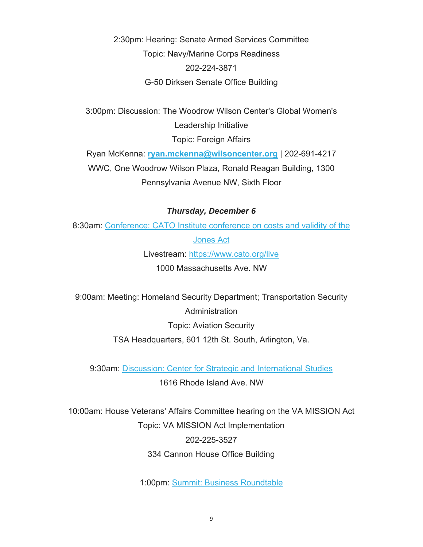2:30pm: Hearing: Senate Armed Services Committee Topic: Navy/Marine Corps Readiness 202-224-3871 G-50 Dirksen Senate Office Building

3:00pm: Discussion: The Woodrow Wilson Center's Global Women's Leadership Initiative Topic: Foreign Affairs

Ryan McKenna: **[ryan.mckenna@wilsoncenter.org](mailto:ryan.mckenna@wilsoncenter.org)** | 202-691-4217 WWC, One Woodrow Wilson Plaza, Ronald Reagan Building, 1300 Pennsylvania Avenue NW, Sixth Floor

#### *Thursday, December 6*

8:30am: Conference: CATO Institute conference on costs and validity of the Jones Act Livestream: <https://www.cato.org/live> 1000 Massachusetts Ave. NW

9:00am: Meeting: Homeland Security Department; Transportation Security **Administration** Topic: Aviation Security TSA Headquarters, 601 12th St. South, Arlington, Va.

9:30am: Discussion: Center for Strategic and International Studies

1616 Rhode Island Ave. NW

10:00am: House Veterans' Affairs Committee hearing on the VA MISSION Act Topic: VA MISSION Act Implementation 202-225-3527 334 Cannon House Office Building

1:00pm: Summit: Business Roundtable